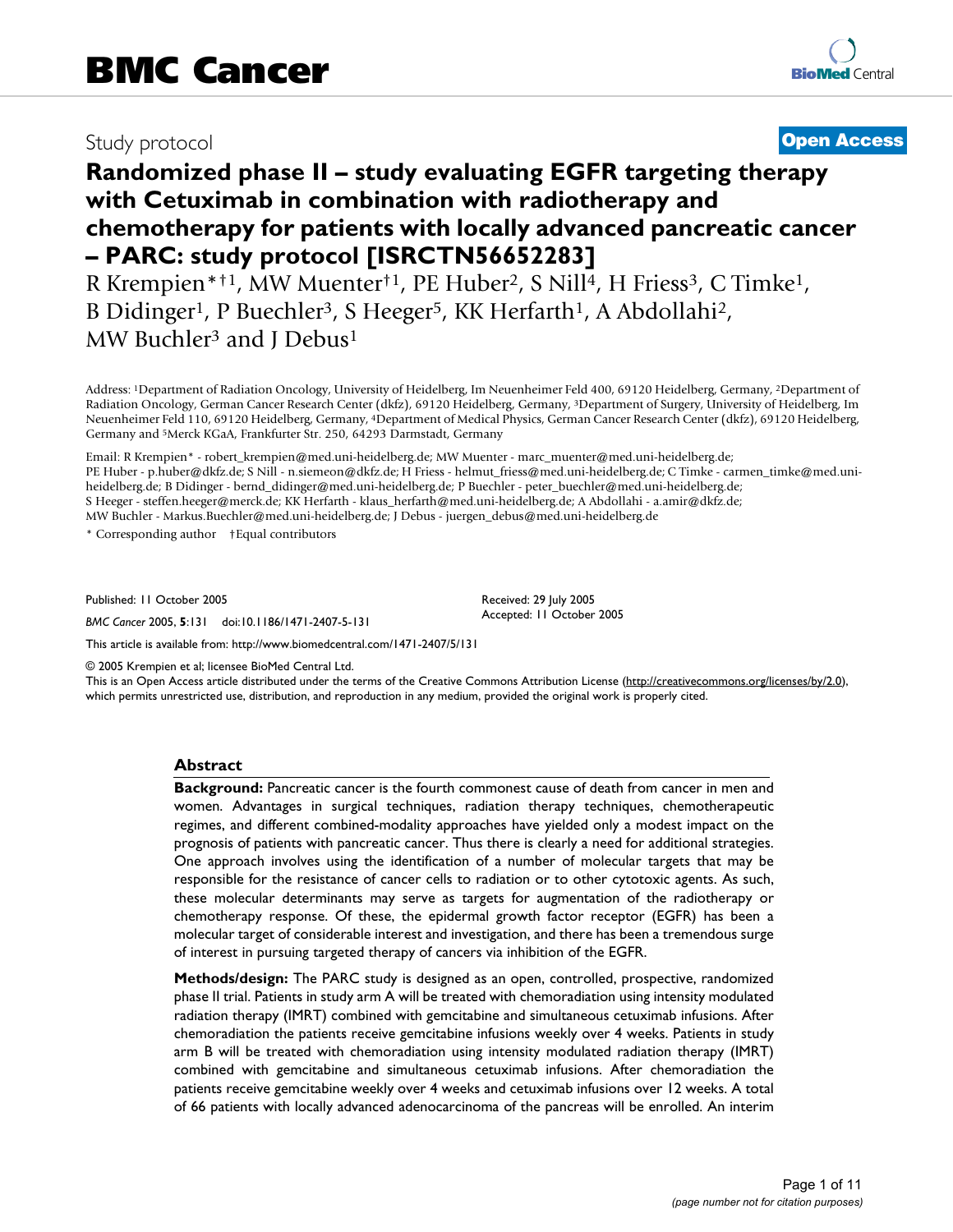# Study protocol **[Open Access](http://www.biomedcentral.com/info/about/charter/)**

# **Randomized phase II – study evaluating EGFR targeting therapy with Cetuximab in combination with radiotherapy and chemotherapy for patients with locally advanced pancreatic cancer – PARC: study protocol [ISRCTN56652283]**

R Krempien\*†1, MW Muenter<sup>†1</sup>, PE Huber<sup>2</sup>, S Nill<sup>4</sup>, H Friess<sup>3</sup>, C Timke<sup>1</sup>, B Didinger<sup>1</sup>, P Buechler<sup>3</sup>, S Heeger<sup>5</sup>, KK Herfarth<sup>1</sup>, A Abdollahi<sup>2</sup>, MW Buchler<sup>3</sup> and I Debus<sup>1</sup>

Address: 1Department of Radiation Oncology, University of Heidelberg, Im Neuenheimer Feld 400, 69120 Heidelberg, Germany, 2Department of Radiation Oncology, German Cancer Research Center (dkfz), 69120 Heidelberg, Germany, 3Department of Surgery, University of Heidelberg, Im Neuenheimer Feld 110, 69120 Heidelberg, Germany, 4Department of Medical Physics, German Cancer Research Center (dkfz), 69120 Heidelberg, Germany and 5Merck KGaA, Frankfurter Str. 250, 64293 Darmstadt, Germany

Email: R Krempien\* - robert\_krempien@med.uni-heidelberg.de; MW Muenter - marc\_muenter@med.uni-heidelberg.de; PE Huber - p.huber@dkfz.de; S Nill - n.siemeon@dkfz.de; H Friess - helmut\_friess@med.uni-heidelberg.de; C Timke - carmen\_timke@med.uniheidelberg.de; B Didinger - bernd\_didinger@med.uni-heidelberg.de; P Buechler - peter\_buechler@med.uni-heidelberg.de; S Heeger - steffen.heeger@merck.de; KK Herfarth - klaus\_herfarth@med.uni-heidelberg.de; A Abdollahi - a.amir@dkfz.de; MW Buchler - Markus.Buechler@med.uni-heidelberg.de; J Debus - juergen\_debus@med.uni-heidelberg.de

\* Corresponding author †Equal contributors

Published: 11 October 2005

*BMC Cancer* 2005, **5**:131 doi:10.1186/1471-2407-5-131

Received: 29 July 2005 Accepted: 11 October 2005

© 2005 Krempien et al; licensee BioMed Central Ltd.

[This article is available from: http://www.biomedcentral.com/1471-2407/5/131](http://www.biomedcentral.com/1471-2407/5/131)

This is an Open Access article distributed under the terms of the Creative Commons Attribution License [\(http://creativecommons.org/licenses/by/2.0\)](http://creativecommons.org/licenses/by/2.0), which permits unrestricted use, distribution, and reproduction in any medium, provided the original work is properly cited.

#### **Abstract**

**Background:** Pancreatic cancer is the fourth commonest cause of death from cancer in men and women. Advantages in surgical techniques, radiation therapy techniques, chemotherapeutic regimes, and different combined-modality approaches have yielded only a modest impact on the prognosis of patients with pancreatic cancer. Thus there is clearly a need for additional strategies. One approach involves using the identification of a number of molecular targets that may be responsible for the resistance of cancer cells to radiation or to other cytotoxic agents. As such, these molecular determinants may serve as targets for augmentation of the radiotherapy or chemotherapy response. Of these, the epidermal growth factor receptor (EGFR) has been a molecular target of considerable interest and investigation, and there has been a tremendous surge of interest in pursuing targeted therapy of cancers via inhibition of the EGFR.

**Methods/design:** The PARC study is designed as an open, controlled, prospective, randomized phase II trial. Patients in study arm A will be treated with chemoradiation using intensity modulated radiation therapy (IMRT) combined with gemcitabine and simultaneous cetuximab infusions. After chemoradiation the patients receive gemcitabine infusions weekly over 4 weeks. Patients in study arm B will be treated with chemoradiation using intensity modulated radiation therapy (IMRT) combined with gemcitabine and simultaneous cetuximab infusions. After chemoradiation the patients receive gemcitabine weekly over 4 weeks and cetuximab infusions over 12 weeks. A total of 66 patients with locally advanced adenocarcinoma of the pancreas will be enrolled. An interim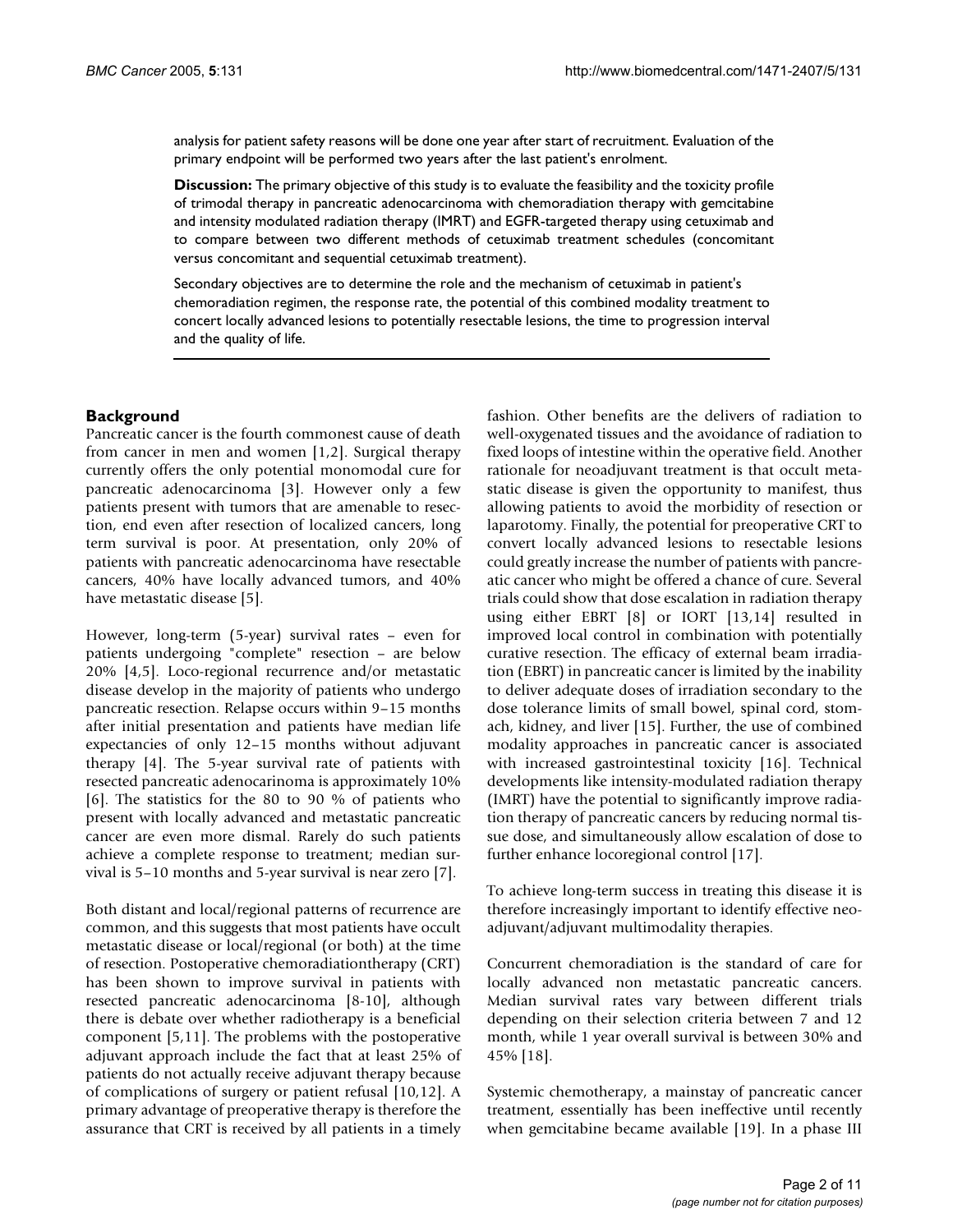analysis for patient safety reasons will be done one year after start of recruitment. Evaluation of the primary endpoint will be performed two years after the last patient's enrolment.

**Discussion:** The primary objective of this study is to evaluate the feasibility and the toxicity profile of trimodal therapy in pancreatic adenocarcinoma with chemoradiation therapy with gemcitabine and intensity modulated radiation therapy (IMRT) and EGFR-targeted therapy using cetuximab and to compare between two different methods of cetuximab treatment schedules (concomitant versus concomitant and sequential cetuximab treatment).

Secondary objectives are to determine the role and the mechanism of cetuximab in patient's chemoradiation regimen, the response rate, the potential of this combined modality treatment to concert locally advanced lesions to potentially resectable lesions, the time to progression interval and the quality of life.

## **Background**

Pancreatic cancer is the fourth commonest cause of death from cancer in men and women [1,2]. Surgical therapy currently offers the only potential monomodal cure for pancreatic adenocarcinoma [3]. However only a few patients present with tumors that are amenable to resection, end even after resection of localized cancers, long term survival is poor. At presentation, only 20% of patients with pancreatic adenocarcinoma have resectable cancers, 40% have locally advanced tumors, and 40% have metastatic disease [5].

However, long-term (5-year) survival rates – even for patients undergoing "complete" resection – are below 20% [4,5]. Loco-regional recurrence and/or metastatic disease develop in the majority of patients who undergo pancreatic resection. Relapse occurs within 9–15 months after initial presentation and patients have median life expectancies of only 12–15 months without adjuvant therapy [4]. The 5-year survival rate of patients with resected pancreatic adenocarinoma is approximately 10% [6]. The statistics for the 80 to 90 % of patients who present with locally advanced and metastatic pancreatic cancer are even more dismal. Rarely do such patients achieve a complete response to treatment; median survival is 5–10 months and 5-year survival is near zero [7].

Both distant and local/regional patterns of recurrence are common, and this suggests that most patients have occult metastatic disease or local/regional (or both) at the time of resection. Postoperative chemoradiationtherapy (CRT) has been shown to improve survival in patients with resected pancreatic adenocarcinoma [8-10], although there is debate over whether radiotherapy is a beneficial component [5,11]. The problems with the postoperative adjuvant approach include the fact that at least 25% of patients do not actually receive adjuvant therapy because of complications of surgery or patient refusal [10,12]. A primary advantage of preoperative therapy is therefore the assurance that CRT is received by all patients in a timely fashion. Other benefits are the delivers of radiation to well-oxygenated tissues and the avoidance of radiation to fixed loops of intestine within the operative field. Another rationale for neoadjuvant treatment is that occult metastatic disease is given the opportunity to manifest, thus allowing patients to avoid the morbidity of resection or laparotomy. Finally, the potential for preoperative CRT to convert locally advanced lesions to resectable lesions could greatly increase the number of patients with pancreatic cancer who might be offered a chance of cure. Several trials could show that dose escalation in radiation therapy using either EBRT [8] or IORT [13,14] resulted in improved local control in combination with potentially curative resection. The efficacy of external beam irradiation (EBRT) in pancreatic cancer is limited by the inability to deliver adequate doses of irradiation secondary to the dose tolerance limits of small bowel, spinal cord, stomach, kidney, and liver [15]. Further, the use of combined modality approaches in pancreatic cancer is associated with increased gastrointestinal toxicity [16]. Technical developments like intensity-modulated radiation therapy (IMRT) have the potential to significantly improve radiation therapy of pancreatic cancers by reducing normal tissue dose, and simultaneously allow escalation of dose to further enhance locoregional control [17].

To achieve long-term success in treating this disease it is therefore increasingly important to identify effective neoadjuvant/adjuvant multimodality therapies.

Concurrent chemoradiation is the standard of care for locally advanced non metastatic pancreatic cancers. Median survival rates vary between different trials depending on their selection criteria between 7 and 12 month, while 1 year overall survival is between 30% and 45% [18].

Systemic chemotherapy, a mainstay of pancreatic cancer treatment, essentially has been ineffective until recently when gemcitabine became available [19]. In a phase III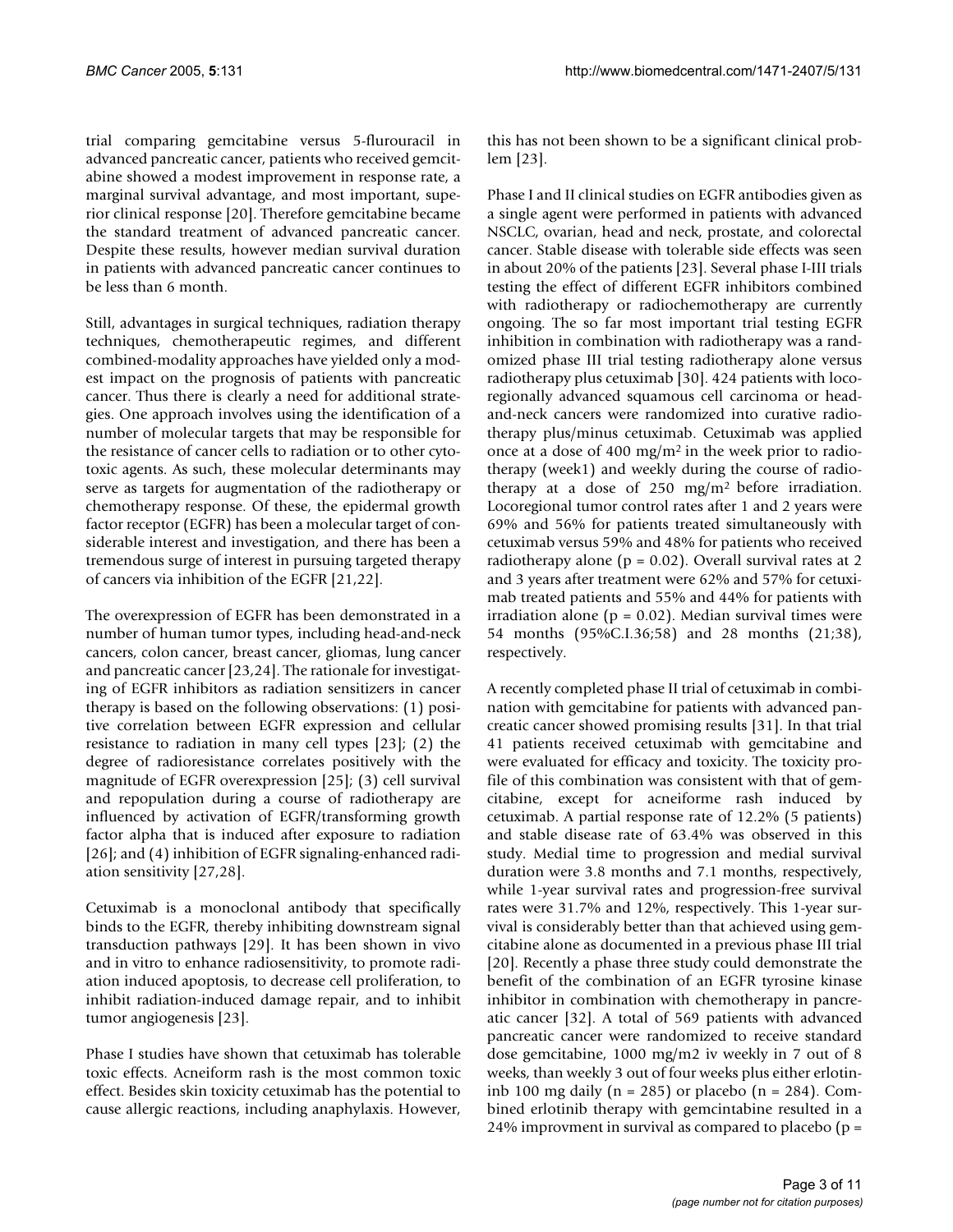trial comparing gemcitabine versus 5-flurouracil in advanced pancreatic cancer, patients who received gemcitabine showed a modest improvement in response rate, a marginal survival advantage, and most important, superior clinical response [20]. Therefore gemcitabine became the standard treatment of advanced pancreatic cancer. Despite these results, however median survival duration in patients with advanced pancreatic cancer continues to be less than 6 month.

Still, advantages in surgical techniques, radiation therapy techniques, chemotherapeutic regimes, and different combined-modality approaches have yielded only a modest impact on the prognosis of patients with pancreatic cancer. Thus there is clearly a need for additional strategies. One approach involves using the identification of a number of molecular targets that may be responsible for the resistance of cancer cells to radiation or to other cytotoxic agents. As such, these molecular determinants may serve as targets for augmentation of the radiotherapy or chemotherapy response. Of these, the epidermal growth factor receptor (EGFR) has been a molecular target of considerable interest and investigation, and there has been a tremendous surge of interest in pursuing targeted therapy of cancers via inhibition of the EGFR [21,22].

The overexpression of EGFR has been demonstrated in a number of human tumor types, including head-and-neck cancers, colon cancer, breast cancer, gliomas, lung cancer and pancreatic cancer [23,24]. The rationale for investigating of EGFR inhibitors as radiation sensitizers in cancer therapy is based on the following observations: (1) positive correlation between EGFR expression and cellular resistance to radiation in many cell types [23]; (2) the degree of radioresistance correlates positively with the magnitude of EGFR overexpression [25]; (3) cell survival and repopulation during a course of radiotherapy are influenced by activation of EGFR/transforming growth factor alpha that is induced after exposure to radiation [26]; and (4) inhibition of EGFR signaling-enhanced radiation sensitivity [27,28].

Cetuximab is a monoclonal antibody that specifically binds to the EGFR, thereby inhibiting downstream signal transduction pathways [29]. It has been shown in vivo and in vitro to enhance radiosensitivity, to promote radiation induced apoptosis, to decrease cell proliferation, to inhibit radiation-induced damage repair, and to inhibit tumor angiogenesis [23].

Phase I studies have shown that cetuximab has tolerable toxic effects. Acneiform rash is the most common toxic effect. Besides skin toxicity cetuximab has the potential to cause allergic reactions, including anaphylaxis. However,

this has not been shown to be a significant clinical problem [23].

Phase I and II clinical studies on EGFR antibodies given as a single agent were performed in patients with advanced NSCLC, ovarian, head and neck, prostate, and colorectal cancer. Stable disease with tolerable side effects was seen in about 20% of the patients [23]. Several phase I-III trials testing the effect of different EGFR inhibitors combined with radiotherapy or radiochemotherapy are currently ongoing. The so far most important trial testing EGFR inhibition in combination with radiotherapy was a randomized phase III trial testing radiotherapy alone versus radiotherapy plus cetuximab [30]. 424 patients with locoregionally advanced squamous cell carcinoma or headand-neck cancers were randomized into curative radiotherapy plus/minus cetuximab. Cetuximab was applied once at a dose of 400 mg/m<sup>2</sup> in the week prior to radiotherapy (week1) and weekly during the course of radiotherapy at a dose of 250 mg/m<sup>2</sup> before irradiation. Locoregional tumor control rates after 1 and 2 years were 69% and 56% for patients treated simultaneously with cetuximab versus 59% and 48% for patients who received radiotherapy alone ( $p = 0.02$ ). Overall survival rates at 2 and 3 years after treatment were 62% and 57% for cetuximab treated patients and 55% and 44% for patients with irradiation alone ( $p = 0.02$ ). Median survival times were 54 months (95%C.I.36;58) and 28 months (21;38), respectively.

A recently completed phase II trial of cetuximab in combination with gemcitabine for patients with advanced pancreatic cancer showed promising results [31]. In that trial 41 patients received cetuximab with gemcitabine and were evaluated for efficacy and toxicity. The toxicity profile of this combination was consistent with that of gemcitabine, except for acneiforme rash induced by cetuximab. A partial response rate of 12.2% (5 patients) and stable disease rate of 63.4% was observed in this study. Medial time to progression and medial survival duration were 3.8 months and 7.1 months, respectively, while 1-year survival rates and progression-free survival rates were 31.7% and 12%, respectively. This 1-year survival is considerably better than that achieved using gemcitabine alone as documented in a previous phase III trial [20]. Recently a phase three study could demonstrate the benefit of the combination of an EGFR tyrosine kinase inhibitor in combination with chemotherapy in pancreatic cancer [32]. A total of 569 patients with advanced pancreatic cancer were randomized to receive standard dose gemcitabine, 1000 mg/m2 iv weekly in 7 out of 8 weeks, than weekly 3 out of four weeks plus either erlotininb 100 mg daily (n = 285) or placebo (n = 284). Combined erlotinib therapy with gemcintabine resulted in a 24% improvment in survival as compared to placebo (p =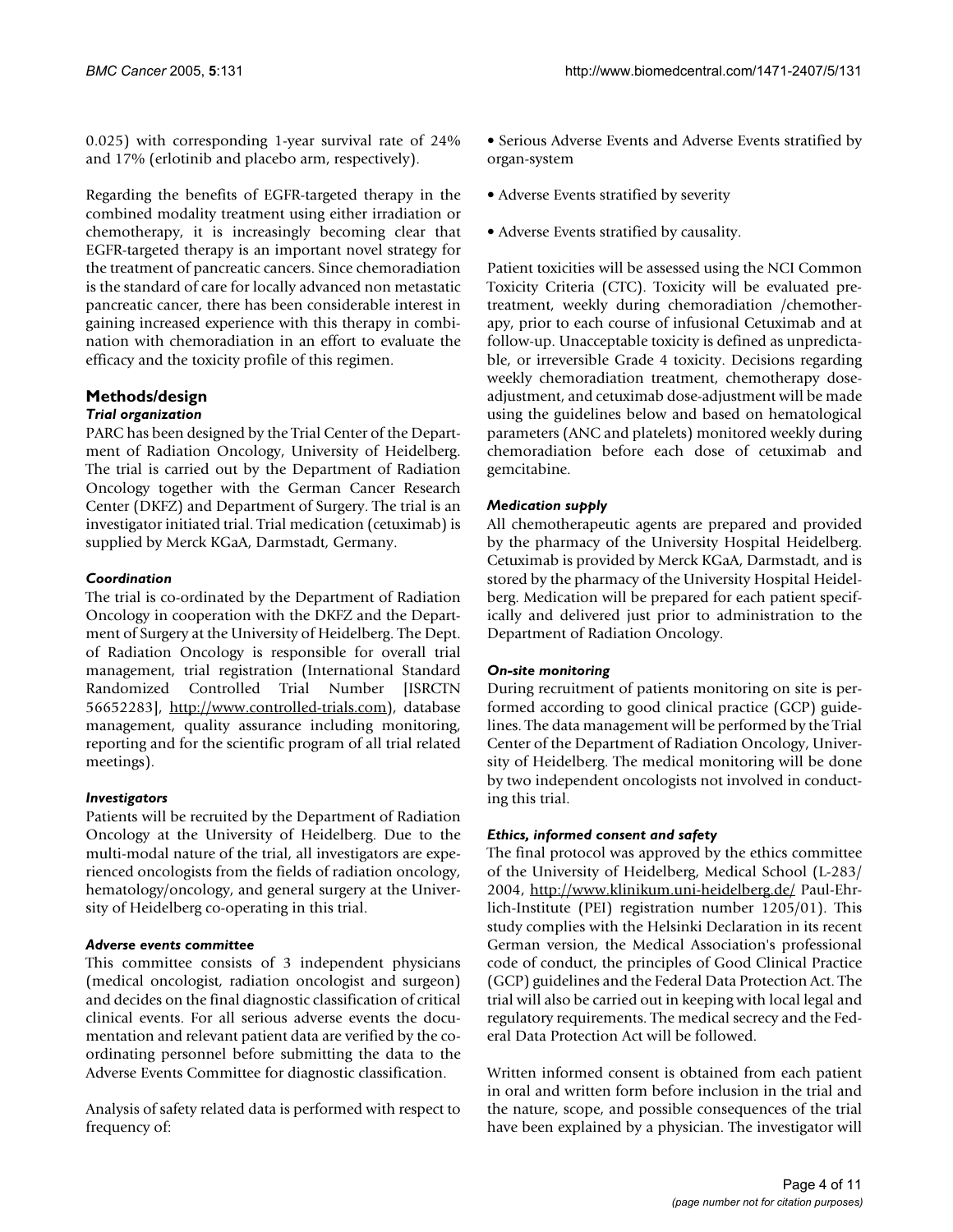0.025) with corresponding 1-year survival rate of 24% and 17% (erlotinib and placebo arm, respectively).

Regarding the benefits of EGFR-targeted therapy in the combined modality treatment using either irradiation or chemotherapy, it is increasingly becoming clear that EGFR-targeted therapy is an important novel strategy for the treatment of pancreatic cancers. Since chemoradiation is the standard of care for locally advanced non metastatic pancreatic cancer, there has been considerable interest in gaining increased experience with this therapy in combination with chemoradiation in an effort to evaluate the efficacy and the toxicity profile of this regimen.

# **Methods/design**

# *Trial organization*

PARC has been designed by the Trial Center of the Department of Radiation Oncology, University of Heidelberg. The trial is carried out by the Department of Radiation Oncology together with the German Cancer Research Center (DKFZ) and Department of Surgery. The trial is an investigator initiated trial. Trial medication (cetuximab) is supplied by Merck KGaA, Darmstadt, Germany.

# *Coordination*

The trial is co-ordinated by the Department of Radiation Oncology in cooperation with the DKFZ and the Department of Surgery at the University of Heidelberg. The Dept. of Radiation Oncology is responsible for overall trial management, trial registration (International Standard Randomized Controlled Trial Number [ISRCTN 56652283], <http://www.controlled-trials.com>), database management, quality assurance including monitoring, reporting and for the scientific program of all trial related meetings).

# *Investigators*

Patients will be recruited by the Department of Radiation Oncology at the University of Heidelberg. Due to the multi-modal nature of the trial, all investigators are experienced oncologists from the fields of radiation oncology, hematology/oncology, and general surgery at the University of Heidelberg co-operating in this trial.

# *Adverse events committee*

This committee consists of 3 independent physicians (medical oncologist, radiation oncologist and surgeon) and decides on the final diagnostic classification of critical clinical events. For all serious adverse events the documentation and relevant patient data are verified by the coordinating personnel before submitting the data to the Adverse Events Committee for diagnostic classification.

Analysis of safety related data is performed with respect to frequency of:

- Serious Adverse Events and Adverse Events stratified by organ-system
- Adverse Events stratified by severity
- Adverse Events stratified by causality.

Patient toxicities will be assessed using the NCI Common Toxicity Criteria (CTC). Toxicity will be evaluated pretreatment, weekly during chemoradiation /chemotherapy, prior to each course of infusional Cetuximab and at follow-up. Unacceptable toxicity is defined as unpredictable, or irreversible Grade 4 toxicity. Decisions regarding weekly chemoradiation treatment, chemotherapy doseadjustment, and cetuximab dose-adjustment will be made using the guidelines below and based on hematological parameters (ANC and platelets) monitored weekly during chemoradiation before each dose of cetuximab and gemcitabine.

# *Medication supply*

All chemotherapeutic agents are prepared and provided by the pharmacy of the University Hospital Heidelberg. Cetuximab is provided by Merck KGaA, Darmstadt, and is stored by the pharmacy of the University Hospital Heidelberg. Medication will be prepared for each patient specifically and delivered just prior to administration to the Department of Radiation Oncology.

# *On-site monitoring*

During recruitment of patients monitoring on site is performed according to good clinical practice (GCP) guidelines. The data management will be performed by the Trial Center of the Department of Radiation Oncology, University of Heidelberg. The medical monitoring will be done by two independent oncologists not involved in conducting this trial.

# *Ethics, informed consent and safety*

The final protocol was approved by the ethics committee of the University of Heidelberg, Medical School (L-283/ 2004, <http://www.klinikum.uni-heidelberg.de/> Paul-Ehrlich-Institute (PEI) registration number 1205/01). This study complies with the Helsinki Declaration in its recent German version, the Medical Association's professional code of conduct, the principles of Good Clinical Practice (GCP) guidelines and the Federal Data Protection Act. The trial will also be carried out in keeping with local legal and regulatory requirements. The medical secrecy and the Federal Data Protection Act will be followed.

Written informed consent is obtained from each patient in oral and written form before inclusion in the trial and the nature, scope, and possible consequences of the trial have been explained by a physician. The investigator will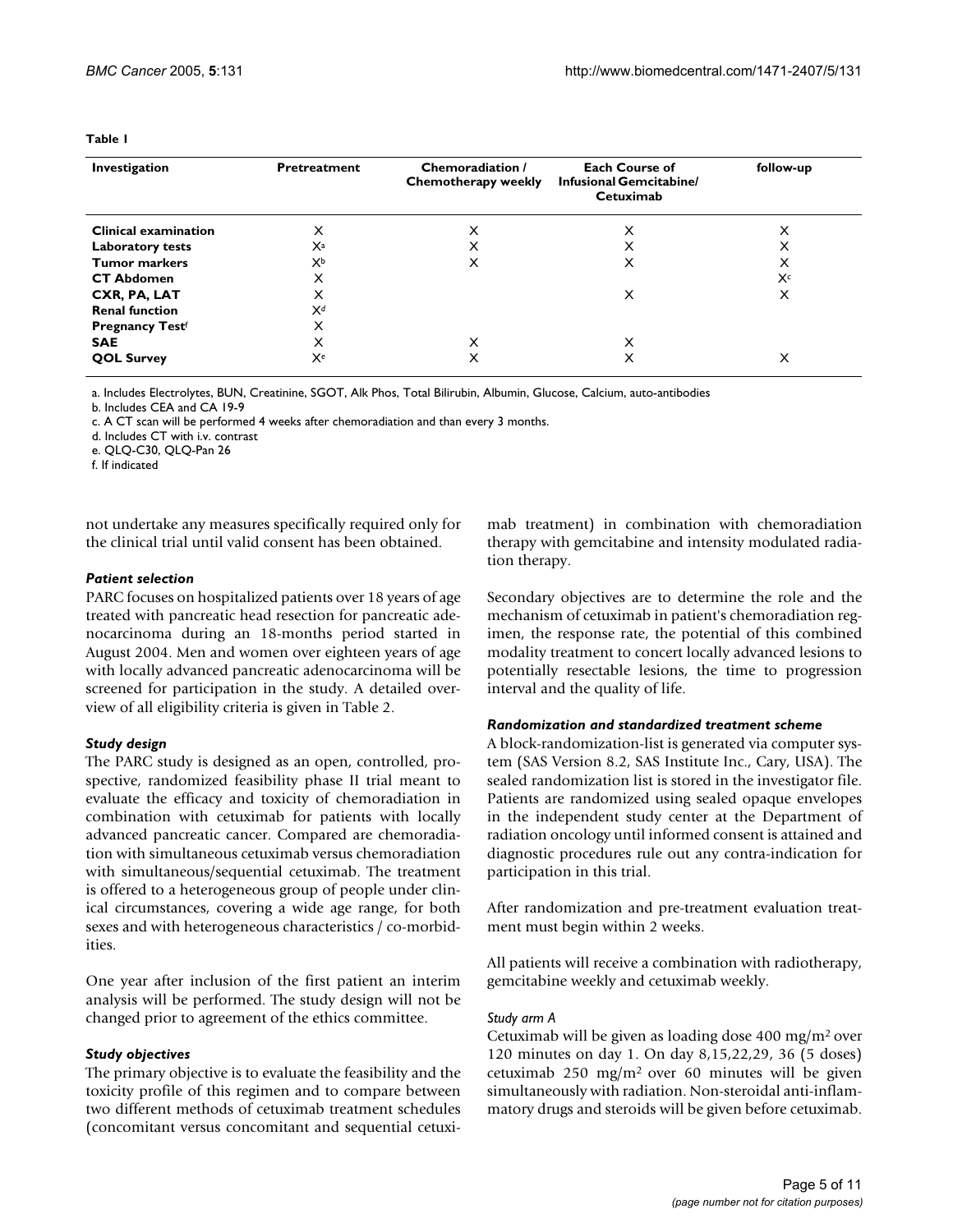| Investigation               | <b>Pretreatment</b> | Chemoradiation /<br><b>Chemotherapy weekly</b> | <b>Each Course of</b><br>Infusional Gemcitabine/<br>Cetuximab | follow-up |
|-----------------------------|---------------------|------------------------------------------------|---------------------------------------------------------------|-----------|
| <b>Clinical examination</b> | X                   | X                                              | X                                                             | X         |
| <b>Laboratory tests</b>     | X <sup>a</sup>      | X                                              | X                                                             | X         |
| <b>Tumor markers</b>        | Хp                  | X                                              | X                                                             | X         |
| <b>CT Abdomen</b>           | X                   |                                                |                                                               | $X^{c}$   |
| CXR, PA, LAT                | X                   |                                                | X                                                             | X         |
| <b>Renal function</b>       | X₫                  |                                                |                                                               |           |
| <b>Pregnancy Testf</b>      | X                   |                                                |                                                               |           |
| <b>SAE</b>                  | X                   | X                                              | X                                                             |           |
| <b>QOL Survey</b>           | $X^e$               | X                                              | X                                                             | X         |

**Table 1**

a. Includes Electrolytes, BUN, Creatinine, SGOT, Alk Phos, Total Bilirubin, Albumin, Glucose, Calcium, auto-antibodies

b. Includes CEA and CA 19-9

c. A CT scan will be performed 4 weeks after chemoradiation and than every 3 months.

d. Includes CT with i.v. contrast

e. QLQ-C30, QLQ-Pan 26

f. If indicated

not undertake any measures specifically required only for the clinical trial until valid consent has been obtained.

#### *Patient selection*

PARC focuses on hospitalized patients over 18 years of age treated with pancreatic head resection for pancreatic adenocarcinoma during an 18-months period started in August 2004. Men and women over eighteen years of age with locally advanced pancreatic adenocarcinoma will be screened for participation in the study. A detailed overview of all eligibility criteria is given in Table 2.

#### *Study design*

The PARC study is designed as an open, controlled, prospective, randomized feasibility phase II trial meant to evaluate the efficacy and toxicity of chemoradiation in combination with cetuximab for patients with locally advanced pancreatic cancer. Compared are chemoradiation with simultaneous cetuximab versus chemoradiation with simultaneous/sequential cetuximab. The treatment is offered to a heterogeneous group of people under clinical circumstances, covering a wide age range, for both sexes and with heterogeneous characteristics / co-morbidities.

One year after inclusion of the first patient an interim analysis will be performed. The study design will not be changed prior to agreement of the ethics committee.

#### *Study objectives*

The primary objective is to evaluate the feasibility and the toxicity profile of this regimen and to compare between two different methods of cetuximab treatment schedules (concomitant versus concomitant and sequential cetuximab treatment) in combination with chemoradiation therapy with gemcitabine and intensity modulated radiation therapy.

Secondary objectives are to determine the role and the mechanism of cetuximab in patient's chemoradiation regimen, the response rate, the potential of this combined modality treatment to concert locally advanced lesions to potentially resectable lesions, the time to progression interval and the quality of life.

#### *Randomization and standardized treatment scheme*

A block-randomization-list is generated via computer system (SAS Version 8.2, SAS Institute Inc., Cary, USA). The sealed randomization list is stored in the investigator file. Patients are randomized using sealed opaque envelopes in the independent study center at the Department of radiation oncology until informed consent is attained and diagnostic procedures rule out any contra-indication for participation in this trial.

After randomization and pre-treatment evaluation treatment must begin within 2 weeks.

All patients will receive a combination with radiotherapy, gemcitabine weekly and cetuximab weekly.

#### *Study arm A*

Cetuximab will be given as loading dose 400 mg/m2 over 120 minutes on day 1. On day 8,15,22,29, 36 (5 doses) cetuximab 250 mg/m2 over 60 minutes will be given simultaneously with radiation. Non-steroidal anti-inflammatory drugs and steroids will be given before cetuximab.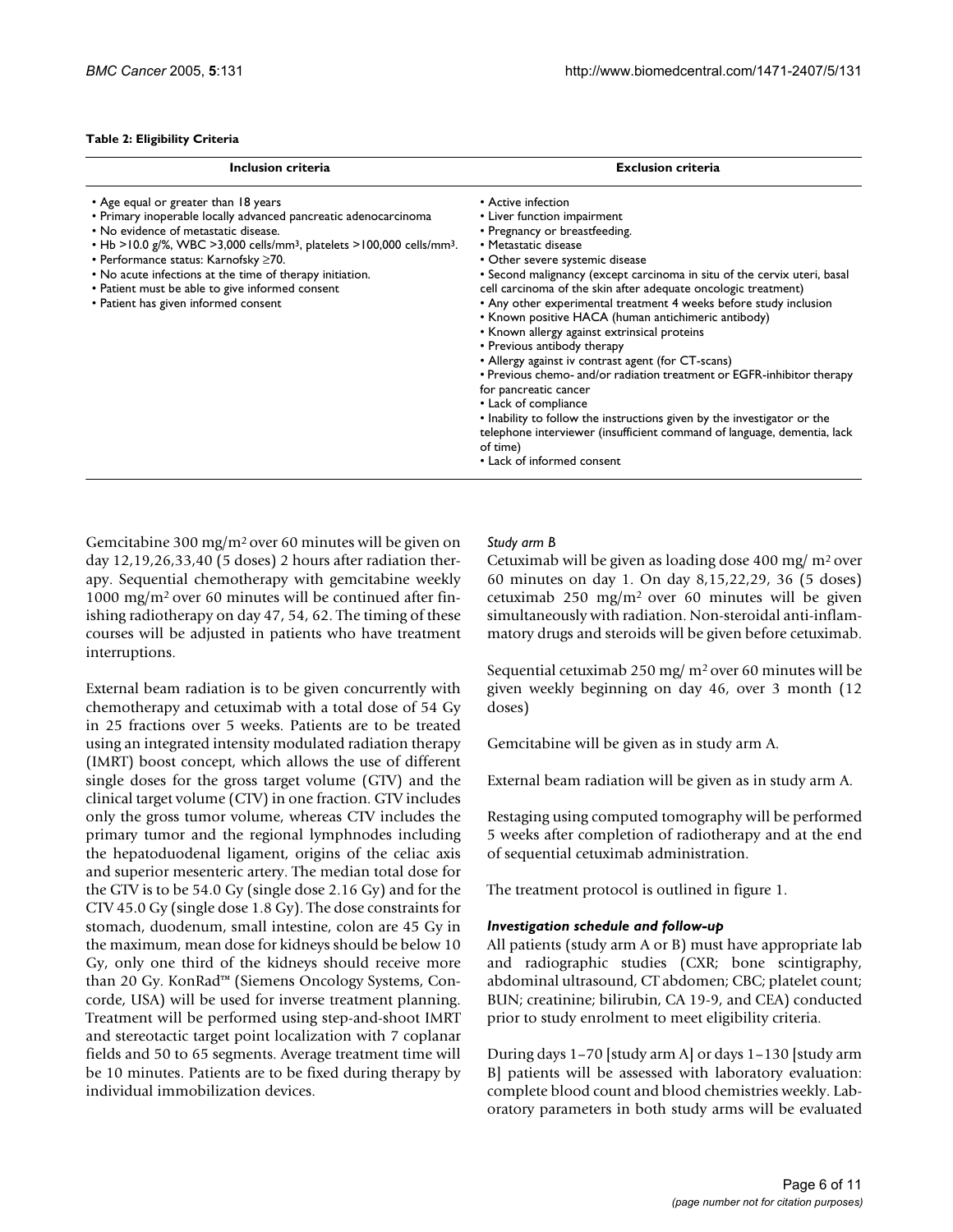#### **Table 2: Eligibility Criteria**

| Inclusion criteria                                                                                                                                                                                                                                                                                                                                                                                                                              | <b>Exclusion criteria</b>                                                                                                                                                                                                                                                                                                                                                                                                                                                                                                                                                                                                                                                                                                                                                                                                                                                               |
|-------------------------------------------------------------------------------------------------------------------------------------------------------------------------------------------------------------------------------------------------------------------------------------------------------------------------------------------------------------------------------------------------------------------------------------------------|-----------------------------------------------------------------------------------------------------------------------------------------------------------------------------------------------------------------------------------------------------------------------------------------------------------------------------------------------------------------------------------------------------------------------------------------------------------------------------------------------------------------------------------------------------------------------------------------------------------------------------------------------------------------------------------------------------------------------------------------------------------------------------------------------------------------------------------------------------------------------------------------|
| • Age equal or greater than 18 years<br>• Primary inoperable locally advanced pancreatic adenocarcinoma<br>• No evidence of metastatic disease.<br>• Hb >10.0 g/%, WBC >3,000 cells/mm <sup>3</sup> , platelets >100,000 cells/mm <sup>3</sup> .<br>• Performance status: Karnofsky 270.<br>• No acute infections at the time of therapy initiation.<br>• Patient must be able to give informed consent<br>• Patient has given informed consent | • Active infection<br>• Liver function impairment<br>• Pregnancy or breastfeeding.<br>• Metastatic disease<br>• Other severe systemic disease<br>• Second malignancy (except carcinoma in situ of the cervix uteri, basal<br>cell carcinoma of the skin after adequate oncologic treatment)<br>• Any other experimental treatment 4 weeks before study inclusion<br>• Known positive HACA (human antichimeric antibody)<br>• Known allergy against extrinsical proteins<br>• Previous antibody therapy<br>• Allergy against iv contrast agent (for CT-scans)<br>• Previous chemo- and/or radiation treatment or EGFR-inhibitor therapy<br>for pancreatic cancer<br>• Lack of compliance<br>• Inability to follow the instructions given by the investigator or the<br>telephone interviewer (insufficient command of language, dementia, lack<br>of time)<br>• Lack of informed consent |

Gemcitabine 300 mg/m2 over 60 minutes will be given on day 12,19,26,33,40 (5 doses) 2 hours after radiation therapy. Sequential chemotherapy with gemcitabine weekly 1000 mg/m2 over 60 minutes will be continued after finishing radiotherapy on day 47, 54, 62. The timing of these courses will be adjusted in patients who have treatment interruptions.

External beam radiation is to be given concurrently with chemotherapy and cetuximab with a total dose of 54 Gy in 25 fractions over 5 weeks. Patients are to be treated using an integrated intensity modulated radiation therapy (IMRT) boost concept, which allows the use of different single doses for the gross target volume (GTV) and the clinical target volume (CTV) in one fraction. GTV includes only the gross tumor volume, whereas CTV includes the primary tumor and the regional lymphnodes including the hepatoduodenal ligament, origins of the celiac axis and superior mesenteric artery. The median total dose for the GTV is to be 54.0 Gy (single dose 2.16 Gy) and for the CTV 45.0 Gy (single dose 1.8 Gy). The dose constraints for stomach, duodenum, small intestine, colon are 45 Gy in the maximum, mean dose for kidneys should be below 10 Gy, only one third of the kidneys should receive more than 20 Gy. KonRad™ (Siemens Oncology Systems, Concorde, USA) will be used for inverse treatment planning. Treatment will be performed using step-and-shoot IMRT and stereotactic target point localization with 7 coplanar fields and 50 to 65 segments. Average treatment time will be 10 minutes. Patients are to be fixed during therapy by individual immobilization devices.

# *Study arm B*

Cetuximab will be given as loading dose 400 mg/ m2 over 60 minutes on day 1. On day 8,15,22,29, 36 (5 doses) cetuximab 250 mg/m2 over 60 minutes will be given simultaneously with radiation. Non-steroidal anti-inflammatory drugs and steroids will be given before cetuximab.

Sequential cetuximab 250 mg/ m2 over 60 minutes will be given weekly beginning on day 46, over 3 month (12 doses)

Gemcitabine will be given as in study arm A.

External beam radiation will be given as in study arm A.

Restaging using computed tomography will be performed 5 weeks after completion of radiotherapy and at the end of sequential cetuximab administration.

The treatment protocol is outlined in figure [1.](#page-6-0)

### *Investigation schedule and follow-up*

All patients (study arm A or B) must have appropriate lab and radiographic studies (CXR; bone scintigraphy, abdominal ultrasound, CT abdomen; CBC; platelet count; BUN; creatinine; bilirubin, CA 19-9, and CEA) conducted prior to study enrolment to meet eligibility criteria.

During days 1–70 [study arm A] or days 1–130 [study arm B] patients will be assessed with laboratory evaluation: complete blood count and blood chemistries weekly. Laboratory parameters in both study arms will be evaluated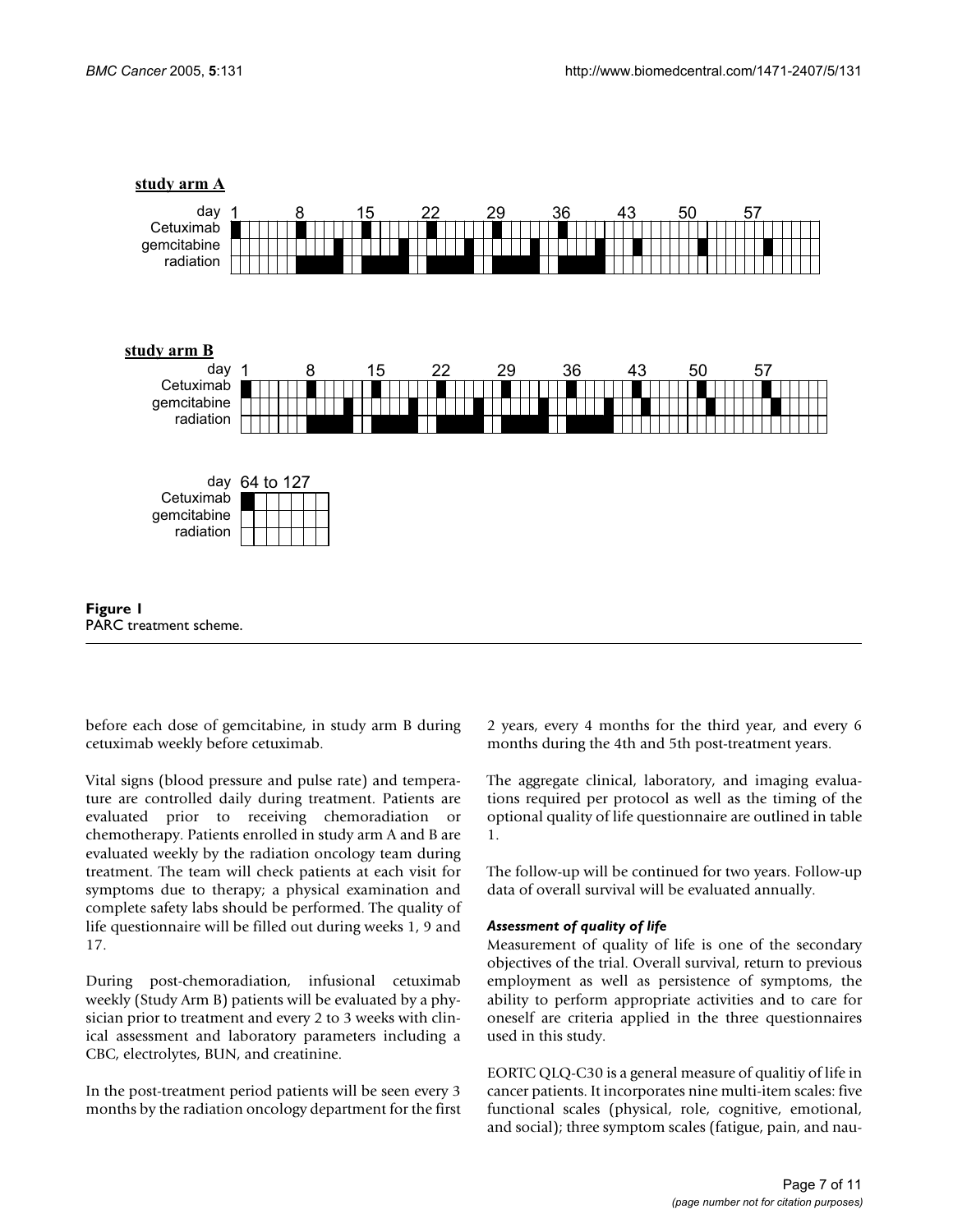<span id="page-6-0"></span>

before each dose of gemcitabine, in study arm B during cetuximab weekly before cetuximab.

Vital signs (blood pressure and pulse rate) and temperature are controlled daily during treatment. Patients are evaluated prior to receiving chemoradiation or chemotherapy. Patients enrolled in study arm A and B are evaluated weekly by the radiation oncology team during treatment. The team will check patients at each visit for symptoms due to therapy; a physical examination and complete safety labs should be performed. The quality of life questionnaire will be filled out during weeks 1, 9 and 17.

During post-chemoradiation, infusional cetuximab weekly (Study Arm B) patients will be evaluated by a physician prior to treatment and every 2 to 3 weeks with clinical assessment and laboratory parameters including a CBC, electrolytes, BUN, and creatinine.

In the post-treatment period patients will be seen every 3 months by the radiation oncology department for the first 2 years, every 4 months for the third year, and every 6 months during the 4th and 5th post-treatment years.

The aggregate clinical, laboratory, and imaging evaluations required per protocol as well as the timing of the optional quality of life questionnaire are outlined in table 1.

The follow-up will be continued for two years. Follow-up data of overall survival will be evaluated annually.

### *Assessment of quality of life*

Measurement of quality of life is one of the secondary objectives of the trial. Overall survival, return to previous employment as well as persistence of symptoms, the ability to perform appropriate activities and to care for oneself are criteria applied in the three questionnaires used in this study.

EORTC QLQ-C30 is a general measure of qualitiy of life in cancer patients. It incorporates nine multi-item scales: five functional scales (physical, role, cognitive, emotional, and social); three symptom scales (fatigue, pain, and nau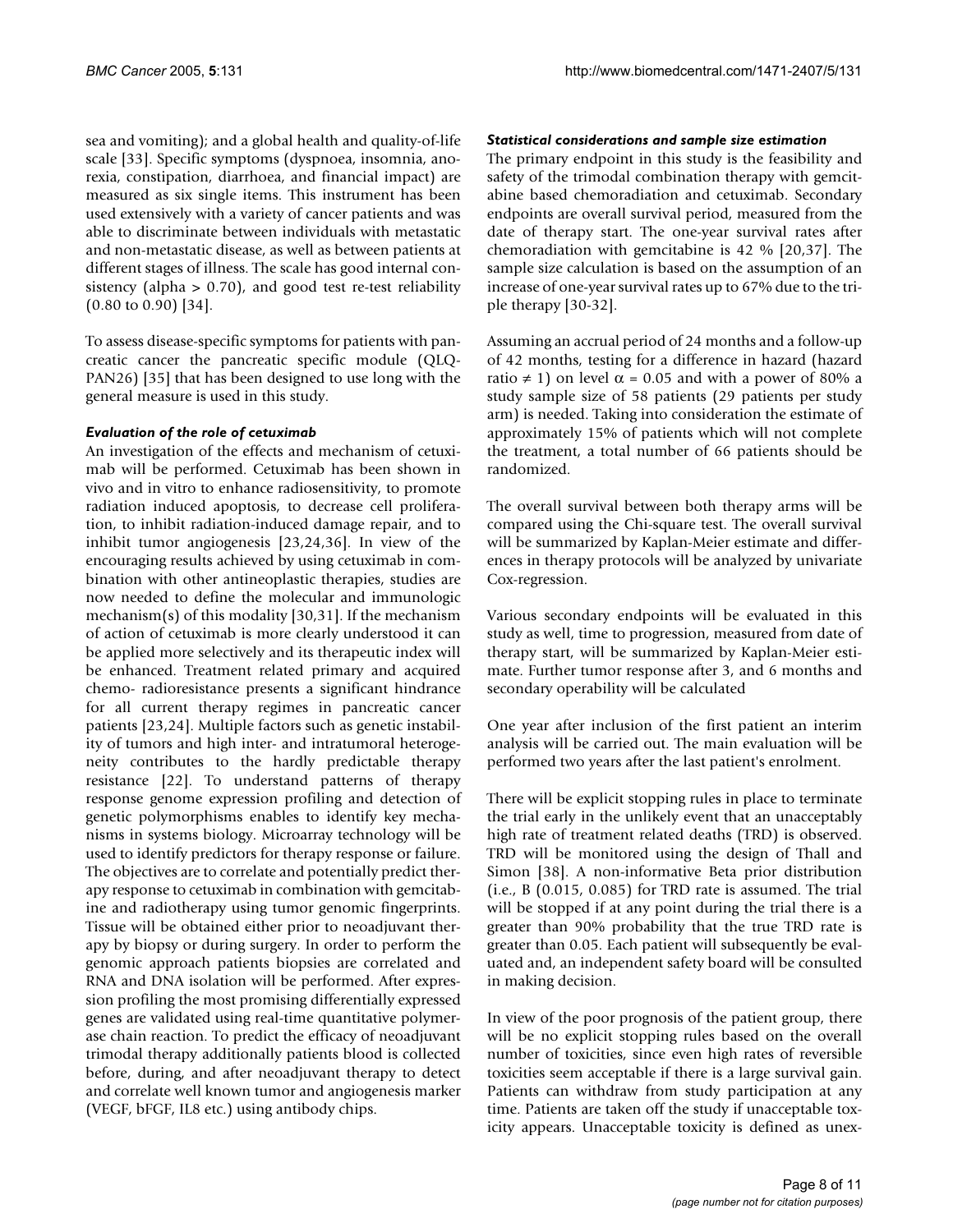sea and vomiting); and a global health and quality-of-life scale [33]. Specific symptoms (dyspnoea, insomnia, anorexia, constipation, diarrhoea, and financial impact) are measured as six single items. This instrument has been used extensively with a variety of cancer patients and was able to discriminate between individuals with metastatic and non-metastatic disease, as well as between patients at different stages of illness. The scale has good internal consistency (alpha  $> 0.70$ ), and good test re-test reliability (0.80 to 0.90) [34].

To assess disease-specific symptoms for patients with pancreatic cancer the pancreatic specific module (QLQ-PAN26) [35] that has been designed to use long with the general measure is used in this study.

# *Evaluation of the role of cetuximab*

An investigation of the effects and mechanism of cetuximab will be performed. Cetuximab has been shown in vivo and in vitro to enhance radiosensitivity, to promote radiation induced apoptosis, to decrease cell proliferation, to inhibit radiation-induced damage repair, and to inhibit tumor angiogenesis [23,24,36]. In view of the encouraging results achieved by using cetuximab in combination with other antineoplastic therapies, studies are now needed to define the molecular and immunologic mechanism(s) of this modality [30,31]. If the mechanism of action of cetuximab is more clearly understood it can be applied more selectively and its therapeutic index will be enhanced. Treatment related primary and acquired chemo- radioresistance presents a significant hindrance for all current therapy regimes in pancreatic cancer patients [23,24]. Multiple factors such as genetic instability of tumors and high inter- and intratumoral heterogeneity contributes to the hardly predictable therapy resistance [22]. To understand patterns of therapy response genome expression profiling and detection of genetic polymorphisms enables to identify key mechanisms in systems biology. Microarray technology will be used to identify predictors for therapy response or failure. The objectives are to correlate and potentially predict therapy response to cetuximab in combination with gemcitabine and radiotherapy using tumor genomic fingerprints. Tissue will be obtained either prior to neoadjuvant therapy by biopsy or during surgery. In order to perform the genomic approach patients biopsies are correlated and RNA and DNA isolation will be performed. After expression profiling the most promising differentially expressed genes are validated using real-time quantitative polymerase chain reaction. To predict the efficacy of neoadjuvant trimodal therapy additionally patients blood is collected before, during, and after neoadjuvant therapy to detect and correlate well known tumor and angiogenesis marker (VEGF, bFGF, IL8 etc.) using antibody chips.

# *Statistical considerations and sample size estimation*

The primary endpoint in this study is the feasibility and safety of the trimodal combination therapy with gemcitabine based chemoradiation and cetuximab. Secondary endpoints are overall survival period, measured from the date of therapy start. The one-year survival rates after chemoradiation with gemcitabine is 42 % [20,[37\]](#page-9-0). The sample size calculation is based on the assumption of an increase of one-year survival rates up to 67% due to the triple therapy [30-32].

Assuming an accrual period of 24 months and a follow-up of 42 months, testing for a difference in hazard (hazard ratio  $\neq$  1) on level  $\alpha$  = 0.05 and with a power of 80% a study sample size of 58 patients (29 patients per study arm) is needed. Taking into consideration the estimate of approximately 15% of patients which will not complete the treatment, a total number of 66 patients should be randomized.

The overall survival between both therapy arms will be compared using the Chi-square test. The overall survival will be summarized by Kaplan-Meier estimate and differences in therapy protocols will be analyzed by univariate Cox-regression.

Various secondary endpoints will be evaluated in this study as well, time to progression, measured from date of therapy start, will be summarized by Kaplan-Meier estimate. Further tumor response after 3, and 6 months and secondary operability will be calculated

One year after inclusion of the first patient an interim analysis will be carried out. The main evaluation will be performed two years after the last patient's enrolment.

There will be explicit stopping rules in place to terminate the trial early in the unlikely event that an unacceptably high rate of treatment related deaths (TRD) is observed. TRD will be monitored using the design of Thall and Simon [38]. A non-informative Beta prior distribution (i.e., B (0.015, 0.085) for TRD rate is assumed. The trial will be stopped if at any point during the trial there is a greater than 90% probability that the true TRD rate is greater than 0.05. Each patient will subsequently be evaluated and, an independent safety board will be consulted in making decision.

In view of the poor prognosis of the patient group, there will be no explicit stopping rules based on the overall number of toxicities, since even high rates of reversible toxicities seem acceptable if there is a large survival gain. Patients can withdraw from study participation at any time. Patients are taken off the study if unacceptable toxicity appears. Unacceptable toxicity is defined as unex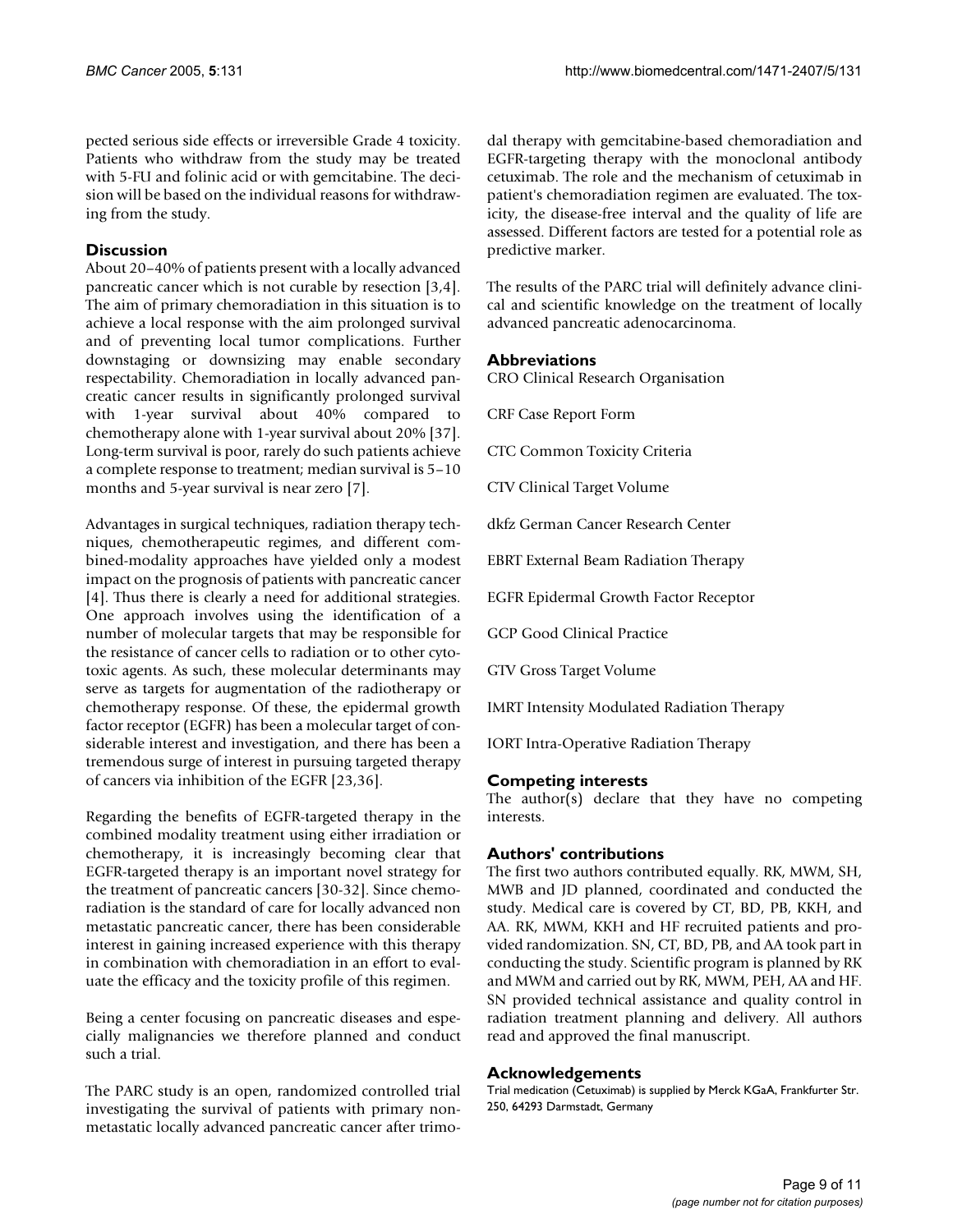pected serious side effects or irreversible Grade 4 toxicity. Patients who withdraw from the study may be treated with 5-FU and folinic acid or with gemcitabine. The decision will be based on the individual reasons for withdrawing from the study.

# **Discussion**

About 20–40% of patients present with a locally advanced pancreatic cancer which is not curable by resection [3,4]. The aim of primary chemoradiation in this situation is to achieve a local response with the aim prolonged survival and of preventing local tumor complications. Further downstaging or downsizing may enable secondary respectability. Chemoradiation in locally advanced pancreatic cancer results in significantly prolonged survival with 1-year survival about 40% compared to chemotherapy alone with 1-year survival about 20% [\[37](#page-9-0)]. Long-term survival is poor, rarely do such patients achieve a complete response to treatment; median survival is 5–10 months and 5-year survival is near zero [7].

Advantages in surgical techniques, radiation therapy techniques, chemotherapeutic regimes, and different combined-modality approaches have yielded only a modest impact on the prognosis of patients with pancreatic cancer [4]. Thus there is clearly a need for additional strategies. One approach involves using the identification of a number of molecular targets that may be responsible for the resistance of cancer cells to radiation or to other cytotoxic agents. As such, these molecular determinants may serve as targets for augmentation of the radiotherapy or chemotherapy response. Of these, the epidermal growth factor receptor (EGFR) has been a molecular target of considerable interest and investigation, and there has been a tremendous surge of interest in pursuing targeted therapy of cancers via inhibition of the EGFR [23,36].

Regarding the benefits of EGFR-targeted therapy in the combined modality treatment using either irradiation or chemotherapy, it is increasingly becoming clear that EGFR-targeted therapy is an important novel strategy for the treatment of pancreatic cancers [30-32]. Since chemoradiation is the standard of care for locally advanced non metastatic pancreatic cancer, there has been considerable interest in gaining increased experience with this therapy in combination with chemoradiation in an effort to evaluate the efficacy and the toxicity profile of this regimen.

Being a center focusing on pancreatic diseases and especially malignancies we therefore planned and conduct such a trial.

The PARC study is an open, randomized controlled trial investigating the survival of patients with primary nonmetastatic locally advanced pancreatic cancer after trimodal therapy with gemcitabine-based chemoradiation and EGFR-targeting therapy with the monoclonal antibody cetuximab. The role and the mechanism of cetuximab in patient's chemoradiation regimen are evaluated. The toxicity, the disease-free interval and the quality of life are assessed. Different factors are tested for a potential role as predictive marker.

The results of the PARC trial will definitely advance clinical and scientific knowledge on the treatment of locally advanced pancreatic adenocarcinoma.

# **Abbreviations**

CRO Clinical Research Organisation

CRF Case Report Form

CTC Common Toxicity Criteria

CTV Clinical Target Volume

dkfz German Cancer Research Center

EBRT External Beam Radiation Therapy

EGFR Epidermal Growth Factor Receptor

GCP Good Clinical Practice

GTV Gross Target Volume

IMRT Intensity Modulated Radiation Therapy

IORT Intra-Operative Radiation Therapy

# **Competing interests**

The author(s) declare that they have no competing interests.

# **Authors' contributions**

The first two authors contributed equally. RK, MWM, SH, MWB and JD planned, coordinated and conducted the study. Medical care is covered by CT, BD, PB, KKH, and AA. RK, MWM, KKH and HF recruited patients and provided randomization. SN, CT, BD, PB, and AA took part in conducting the study. Scientific program is planned by RK and MWM and carried out by RK, MWM, PEH, AA and HF. SN provided technical assistance and quality control in radiation treatment planning and delivery. All authors read and approved the final manuscript.

# **Acknowledgements**

Trial medication (Cetuximab) is supplied by Merck KGaA, Frankfurter Str. 250, 64293 Darmstadt, Germany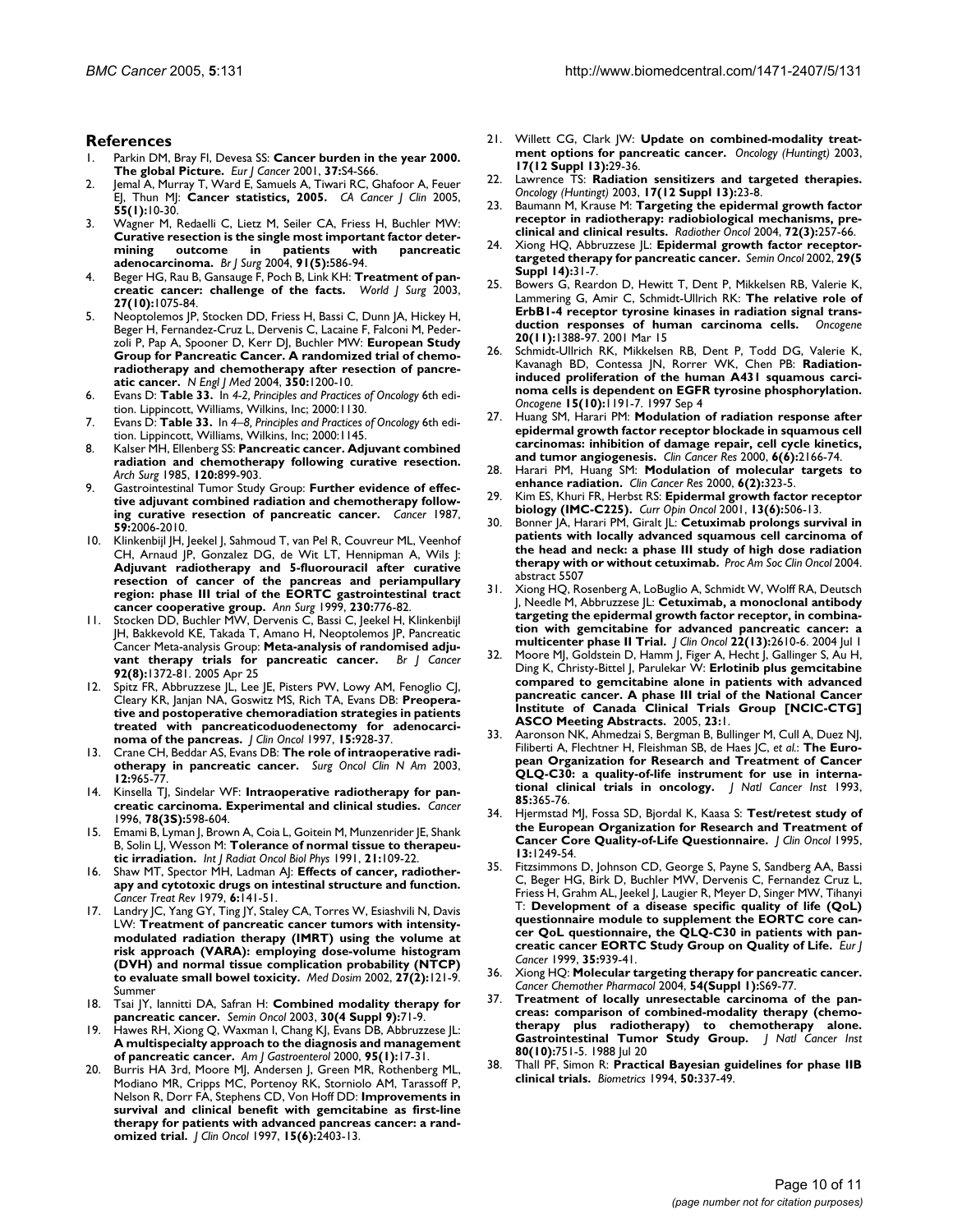### **References**

- 1. Parkin DM, Bray FI, Devesa SS: **[Cancer burden in the year 2000.](http://www.ncbi.nlm.nih.gov/entrez/query.fcgi?cmd=Retrieve&db=PubMed&dopt=Abstract&list_uids=11602373) [The global Picture.](http://www.ncbi.nlm.nih.gov/entrez/query.fcgi?cmd=Retrieve&db=PubMed&dopt=Abstract&list_uids=11602373)** *Eur J Cancer* 2001, **37:**S4-S66.
- 2. Jemal A, Murray T, Ward E, Samuels A, Tiwari RC, Ghafoor A, Feuer EJ, Thun MJ: **[Cancer statistics, 2005.](http://www.ncbi.nlm.nih.gov/entrez/query.fcgi?cmd=Retrieve&db=PubMed&dopt=Abstract&list_uids=15661684)** *CA Cancer J Clin* 2005, **55(1):**10-30.
- 3. Wagner M, Redaelli C, Lietz M, Seiler CA, Friess H, Buchler MW: **Curative resection is the single most important factor deter[mining outcome in patients with pancreatic](http://www.ncbi.nlm.nih.gov/entrez/query.fcgi?cmd=Retrieve&db=PubMed&dopt=Abstract&list_uids=15122610) [adenocarcinoma.](http://www.ncbi.nlm.nih.gov/entrez/query.fcgi?cmd=Retrieve&db=PubMed&dopt=Abstract&list_uids=15122610)** *Br J Surg* 2004, **91(5):**586-94.
- 4. Beger HG, Rau B, Gansauge F, Poch B, Link KH: **[Treatment of pan](http://www.ncbi.nlm.nih.gov/entrez/query.fcgi?cmd=Retrieve&db=PubMed&dopt=Abstract&list_uids=12925907)[creatic cancer: challenge of the facts.](http://www.ncbi.nlm.nih.gov/entrez/query.fcgi?cmd=Retrieve&db=PubMed&dopt=Abstract&list_uids=12925907)** *World J Surg* 2003, **27(10):**1075-84.
- 5. Neoptolemos JP, Stocken DD, Friess H, Bassi C, Dunn JA, Hickey H, Beger H, Fernandez-Cruz L, Dervenis C, Lacaine F, Falconi M, Pederzoli P, Pap A, Spooner D, Kerr DJ, Buchler MW: **[European Study](http://www.ncbi.nlm.nih.gov/entrez/query.fcgi?cmd=Retrieve&db=PubMed&dopt=Abstract&list_uids=15028824) Group for Pancreatic Cancer. A randomized trial of chemo[radiotherapy and chemotherapy after resection of pancre](http://www.ncbi.nlm.nih.gov/entrez/query.fcgi?cmd=Retrieve&db=PubMed&dopt=Abstract&list_uids=15028824)[atic cancer.](http://www.ncbi.nlm.nih.gov/entrez/query.fcgi?cmd=Retrieve&db=PubMed&dopt=Abstract&list_uids=15028824)** *N Engl J Med* 2004, **350:**1200-10.
- 6. Evans D: **Table 33.** In *4-2, Principles and Practices of Oncology* 6th edition. Lippincott, Williams, Wilkins, Inc; 2000:1130.
- 7. Evans D: **Table 33.** In *4–8, Principles and Practices of Oncology* 6th edition. Lippincott, Williams, Wilkins, Inc; 2000:1145.
- 8. Kalser MH, Ellenberg SS: **[Pancreatic cancer. Adjuvant combined](http://www.ncbi.nlm.nih.gov/entrez/query.fcgi?cmd=Retrieve&db=PubMed&dopt=Abstract&list_uids=4015380) [radiation and chemotherapy following curative resection.](http://www.ncbi.nlm.nih.gov/entrez/query.fcgi?cmd=Retrieve&db=PubMed&dopt=Abstract&list_uids=4015380)** *Arch Surg* 1985, **120:**899-903.
- Gastrointestinal Tumor Study Group: [Further evidence of effec](http://www.ncbi.nlm.nih.gov/entrez/query.fcgi?cmd=Retrieve&db=PubMed&dopt=Abstract&list_uids=3567862)**[tive adjuvant combined radiation and chemotherapy follow](http://www.ncbi.nlm.nih.gov/entrez/query.fcgi?cmd=Retrieve&db=PubMed&dopt=Abstract&list_uids=3567862)[ing curative resection of pancreatic cancer.](http://www.ncbi.nlm.nih.gov/entrez/query.fcgi?cmd=Retrieve&db=PubMed&dopt=Abstract&list_uids=3567862)** *Cancer* 1987, **59:**2006-2010.
- 10. Klinkenbijl JH, Jeekel J, Sahmoud T, van Pel R, Couvreur ML, Veenhof CH, Arnaud JP, Gonzalez DG, de Wit LT, Hennipman A, Wils J: **Adjuvant radiotherapy and 5-fluorouracil after curative [resection of cancer of the pancreas and periampullary](http://www.ncbi.nlm.nih.gov/entrez/query.fcgi?cmd=Retrieve&db=PubMed&dopt=Abstract&list_uids=10615932) region: phase III trial of the EORTC gastrointestinal tract [cancer cooperative group.](http://www.ncbi.nlm.nih.gov/entrez/query.fcgi?cmd=Retrieve&db=PubMed&dopt=Abstract&list_uids=10615932)** *Ann Surg* 1999, **230:**776-82.
- 11. Stocken DD, Buchler MW, Dervenis C, Bassi C, Jeekel H, Klinkenbijl JH, Bakkevold KE, Takada T, Amano H, Neoptolemos JP, Pancreatic Cancer Meta-analysis Group: **[Meta-analysis of randomised adju](http://www.ncbi.nlm.nih.gov/entrez/query.fcgi?cmd=Retrieve&db=PubMed&dopt=Abstract&list_uids=15812554)[vant therapy trials for pancreatic cancer.](http://www.ncbi.nlm.nih.gov/entrez/query.fcgi?cmd=Retrieve&db=PubMed&dopt=Abstract&list_uids=15812554)** *Br J Cancer* **92(8):**1372-81. 2005 Apr 25
- 12. Spitz FR, Abbruzzese JL, Lee JE, Pisters PW, Lowy AM, Fenoglio CJ, Cleary KR, Janjan NA, Goswitz MS, Rich TA, Evans DB: **[Preopera](http://www.ncbi.nlm.nih.gov/entrez/query.fcgi?cmd=Retrieve&db=PubMed&dopt=Abstract&list_uids=9060530)tive and postoperative chemoradiation strategies in patients [treated with pancreaticoduodenectomy for adenocarci](http://www.ncbi.nlm.nih.gov/entrez/query.fcgi?cmd=Retrieve&db=PubMed&dopt=Abstract&list_uids=9060530)[noma of the pancreas.](http://www.ncbi.nlm.nih.gov/entrez/query.fcgi?cmd=Retrieve&db=PubMed&dopt=Abstract&list_uids=9060530)** *J Clin Oncol* 1997, **15:**928-37.
- 13. Crane CH, Beddar AS, Evans DB: **[The role of intraoperative radi](http://www.ncbi.nlm.nih.gov/entrez/query.fcgi?cmd=Retrieve&db=PubMed&dopt=Abstract&list_uids=14989127)[otherapy in pancreatic cancer.](http://www.ncbi.nlm.nih.gov/entrez/query.fcgi?cmd=Retrieve&db=PubMed&dopt=Abstract&list_uids=14989127)** *Surg Oncol Clin N Am* 2003, **12:**965-77.
- 14. Kinsella TJ, Sindelar WF: **[Intraoperative radiotherapy for pan](http://www.ncbi.nlm.nih.gov/entrez/query.fcgi?cmd=Retrieve&db=PubMed&dopt=Abstract&list_uids=8681298)[creatic carcinoma. Experimental and clinical studies.](http://www.ncbi.nlm.nih.gov/entrez/query.fcgi?cmd=Retrieve&db=PubMed&dopt=Abstract&list_uids=8681298)** *Cancer* 1996, **78(3S):**598-604.
- 15. Emami B, Lyman J, Brown A, Coia L, Goitein M, Munzenrider JE, Shank B, Solin LJ, Wesson M: **[Tolerance of normal tissue to therapeu](http://www.ncbi.nlm.nih.gov/entrez/query.fcgi?cmd=Retrieve&db=PubMed&dopt=Abstract&list_uids=2032882)[tic irradiation.](http://www.ncbi.nlm.nih.gov/entrez/query.fcgi?cmd=Retrieve&db=PubMed&dopt=Abstract&list_uids=2032882)** *Int J Radiat Oncol Biol Phys* 1991, **21:**109-22.
- 16. Shaw MT, Spector MH, Ladman AJ: **[Effects of cancer, radiother](http://www.ncbi.nlm.nih.gov/entrez/query.fcgi?cmd=Retrieve&db=PubMed&dopt=Abstract&list_uids=394833)[apy and cytotoxic drugs on intestinal structure and function.](http://www.ncbi.nlm.nih.gov/entrez/query.fcgi?cmd=Retrieve&db=PubMed&dopt=Abstract&list_uids=394833)** *Cancer Treat Rev* 1979, **6:**141-51.
- 17. Landry JC, Yang GY, Ting JY, Staley CA, Torres W, Esiashvili N, Davis LW: **[Treatment of pancreatic cancer tumors with intensity](http://www.ncbi.nlm.nih.gov/entrez/query.fcgi?cmd=Retrieve&db=PubMed&dopt=Abstract&list_uids=12074463)modulated radiation therapy (IMRT) using the volume at [risk approach \(VARA\): employing dose-volume histogram](http://www.ncbi.nlm.nih.gov/entrez/query.fcgi?cmd=Retrieve&db=PubMed&dopt=Abstract&list_uids=12074463) (DVH) and normal tissue complication probability (NTCP) [to evaluate small bowel toxicity.](http://www.ncbi.nlm.nih.gov/entrez/query.fcgi?cmd=Retrieve&db=PubMed&dopt=Abstract&list_uids=12074463)** *Med Dosim* 2002, **27(2):**121-9. Summer
- 18. Tsai JY, Iannitti DA, Safran H: **[Combined modality therapy for](http://www.ncbi.nlm.nih.gov/entrez/query.fcgi?cmd=Retrieve&db=PubMed&dopt=Abstract&list_uids=12908138) [pancreatic cancer.](http://www.ncbi.nlm.nih.gov/entrez/query.fcgi?cmd=Retrieve&db=PubMed&dopt=Abstract&list_uids=12908138)** *Semin Oncol* 2003, **30(4 Suppl 9):**71-9.
- 19. Hawes RH, Xiong Q, Waxman I, Chang KJ, Evans DB, Abbruzzese JL: **[A multispecialty approach to the diagnosis and management](http://www.ncbi.nlm.nih.gov/entrez/query.fcgi?cmd=Retrieve&db=PubMed&dopt=Abstract&list_uids=10638554) [of pancreatic cancer.](http://www.ncbi.nlm.nih.gov/entrez/query.fcgi?cmd=Retrieve&db=PubMed&dopt=Abstract&list_uids=10638554)** *Am J Gastroenterol* 2000, **95(1):**17-31.
- 20. Burris HA 3rd, Moore MJ, Andersen J, Green MR, Rothenberg ML, Modiano MR, Cripps MC, Portenoy RK, Storniolo AM, Tarassoff P, Nelson R, Dorr FA, Stephens CD, Von Hoff DD: **[Improvements in](http://www.ncbi.nlm.nih.gov/entrez/query.fcgi?cmd=Retrieve&db=PubMed&dopt=Abstract&list_uids=9196156) survival and clinical benefit with gemcitabine as first-line [therapy for patients with advanced pancreas cancer: a rand](http://www.ncbi.nlm.nih.gov/entrez/query.fcgi?cmd=Retrieve&db=PubMed&dopt=Abstract&list_uids=9196156)[omized trial.](http://www.ncbi.nlm.nih.gov/entrez/query.fcgi?cmd=Retrieve&db=PubMed&dopt=Abstract&list_uids=9196156)** *J Clin Oncol* 1997, **15(6):**2403-13.
- 21. Willett CG, Clark JW: Update on combined-modality treat**ment options for pancreatic cancer.** *Oncology (Huntingt)* 2003, **17(12 Suppl 13):**29-36.
- 22. Lawrence TS: **Radiation sensitizers and targeted therapies.** *Oncology (Huntingt)* 2003, **17(12 Suppl 13):**23-8.
- 23. Baumann M, Krause M: **[Targeting the epidermal growth factor](http://www.ncbi.nlm.nih.gov/entrez/query.fcgi?cmd=Retrieve&db=PubMed&dopt=Abstract&list_uids=15450723) [receptor in radiotherapy: radiobiological mechanisms, pre](http://www.ncbi.nlm.nih.gov/entrez/query.fcgi?cmd=Retrieve&db=PubMed&dopt=Abstract&list_uids=15450723)[clinical and clinical results.](http://www.ncbi.nlm.nih.gov/entrez/query.fcgi?cmd=Retrieve&db=PubMed&dopt=Abstract&list_uids=15450723)** *Radiother Oncol* 2004, **72(3):**257-66.
- 24. Xiong HQ, Abbruzzese JL: **[Epidermal growth factor receptor](http://www.ncbi.nlm.nih.gov/entrez/query.fcgi?cmd=Retrieve&db=PubMed&dopt=Abstract&list_uids=12422311)[targeted therapy for pancreatic cancer.](http://www.ncbi.nlm.nih.gov/entrez/query.fcgi?cmd=Retrieve&db=PubMed&dopt=Abstract&list_uids=12422311)** *Semin Oncol* 2002, **29(5 Suppl 14):**31-7.
- 25. Bowers G, Reardon D, Hewitt T, Dent P, Mikkelsen RB, Valerie K, Lammering G, Amir C, Schmidt-Ullrich RK: **[The relative role of](http://www.ncbi.nlm.nih.gov/entrez/query.fcgi?cmd=Retrieve&db=PubMed&dopt=Abstract&list_uids=11313882) [ErbB1-4 receptor tyrosine kinases in radiation signal trans](http://www.ncbi.nlm.nih.gov/entrez/query.fcgi?cmd=Retrieve&db=PubMed&dopt=Abstract&list_uids=11313882)[duction responses of human carcinoma cells.](http://www.ncbi.nlm.nih.gov/entrez/query.fcgi?cmd=Retrieve&db=PubMed&dopt=Abstract&list_uids=11313882)** *Oncogene* **20(11):**1388-97. 2001 Mar 15
- Schmidt-Ullrich RK, Mikkelsen RB, Dent P, Todd DG, Valerie K, Kavanagh BD, Contessa JN, Rorrer WK, Chen PB: **[Radiation](http://www.ncbi.nlm.nih.gov/entrez/query.fcgi?cmd=Retrieve&db=PubMed&dopt=Abstract&list_uids=9294612)induced proliferation of the human A431 squamous carci[noma cells is dependent on EGFR tyrosine phosphorylation.](http://www.ncbi.nlm.nih.gov/entrez/query.fcgi?cmd=Retrieve&db=PubMed&dopt=Abstract&list_uids=9294612)** *Oncogene* **15(10):**1191-7. 1997 Sep 4
- 27. Huang SM, Harari PM: **[Modulation of radiation response after](http://www.ncbi.nlm.nih.gov/entrez/query.fcgi?cmd=Retrieve&db=PubMed&dopt=Abstract&list_uids=10873065) epidermal growth factor receptor blockade in squamous cell [carcinomas: inhibition of damage repair, cell cycle kinetics,](http://www.ncbi.nlm.nih.gov/entrez/query.fcgi?cmd=Retrieve&db=PubMed&dopt=Abstract&list_uids=10873065) [and tumor angiogenesis.](http://www.ncbi.nlm.nih.gov/entrez/query.fcgi?cmd=Retrieve&db=PubMed&dopt=Abstract&list_uids=10873065)** *Clin Cancer Res* 2000, **6(6):**2166-74.
- 28. Harari PM, Huang SM: **[Modulation of molecular targets to](http://www.ncbi.nlm.nih.gov/entrez/query.fcgi?cmd=Retrieve&db=PubMed&dopt=Abstract&list_uids=10690506) [enhance radiation.](http://www.ncbi.nlm.nih.gov/entrez/query.fcgi?cmd=Retrieve&db=PubMed&dopt=Abstract&list_uids=10690506)** *Clin Cancer Res* 2000, **6(2):**323-5.
- 29. Kim ES, Khuri FR, Herbst RS: **[Epidermal growth factor receptor](http://www.ncbi.nlm.nih.gov/entrez/query.fcgi?cmd=Retrieve&db=PubMed&dopt=Abstract&list_uids=11673692) [biology \(IMC-C225\).](http://www.ncbi.nlm.nih.gov/entrez/query.fcgi?cmd=Retrieve&db=PubMed&dopt=Abstract&list_uids=11673692)** *Curr Opin Oncol* 2001, **13(6):**506-13.
- 30. Bonner JA, Harari PM, Giralt JL: **Cetuximab prolongs survival in patients with locally advanced squamous cell carcinoma of the head and neck: a phase III study of high dose radiation therapy with or without cetuximab.** *Proc Am Soc Clin Oncol* 2004. abstract 5507
- 31. Xiong HQ, Rosenberg A, LoBuglio A, Schmidt W, Wolff RA, Deutsch J, Needle M, Abbruzzese JL: **[Cetuximab, a monoclonal antibody](http://www.ncbi.nlm.nih.gov/entrez/query.fcgi?cmd=Retrieve&db=PubMed&dopt=Abstract&list_uids=15226328) targeting the epidermal growth factor receptor, in combina[tion with gemcitabine for advanced pancreatic cancer: a](http://www.ncbi.nlm.nih.gov/entrez/query.fcgi?cmd=Retrieve&db=PubMed&dopt=Abstract&list_uids=15226328) [multicenter phase II Trial.](http://www.ncbi.nlm.nih.gov/entrez/query.fcgi?cmd=Retrieve&db=PubMed&dopt=Abstract&list_uids=15226328)** *J Clin Oncol* **22(13):**2610-6. 2004 Jul 1
- 32. Moore MJ, Goldstein D, Hamm J, Figer A, Hecht J, Gallinger S, Au H, Ding K, Christy-Bittel J, Parulekar W: **Erlotinib plus gemcitabine compared to gemcitabine alone in patients with advanced pancreatic cancer. A phase III trial of the National Cancer Institute of Canada Clinical Trials Group [NCIC-CTG] ASCO Meeting Abstracts.** 2005, **23:**1.
- 33. Aaronson NK, Ahmedzai S, Bergman B, Bullinger M, Cull A, Duez NJ, Filiberti A, Flechtner H, Fleishman SB, de Haes JC, *et al.*: **[The Euro](http://www.ncbi.nlm.nih.gov/entrez/query.fcgi?cmd=Retrieve&db=PubMed&dopt=Abstract&list_uids=8433390)pean Organization for Research and Treatment of Cancer [QLQ-C30: a quality-of-life instrument for use in interna](http://www.ncbi.nlm.nih.gov/entrez/query.fcgi?cmd=Retrieve&db=PubMed&dopt=Abstract&list_uids=8433390)[tional clinical trials in oncology.](http://www.ncbi.nlm.nih.gov/entrez/query.fcgi?cmd=Retrieve&db=PubMed&dopt=Abstract&list_uids=8433390)** *J Natl Cancer Inst* 1993, **85:**365-76.
- 34. Hjermstad MJ, Fossa SD, Bjordal K, Kaasa S: **[Test/retest study of](http://www.ncbi.nlm.nih.gov/entrez/query.fcgi?cmd=Retrieve&db=PubMed&dopt=Abstract&list_uids=7738629) [the European Organization for Research and Treatment of](http://www.ncbi.nlm.nih.gov/entrez/query.fcgi?cmd=Retrieve&db=PubMed&dopt=Abstract&list_uids=7738629) [Cancer Core Quality-of-Life Questionnaire.](http://www.ncbi.nlm.nih.gov/entrez/query.fcgi?cmd=Retrieve&db=PubMed&dopt=Abstract&list_uids=7738629)** *J Clin Oncol* 1995, **13:**1249-54.
- 35. Fitzsimmons D, Johnson CD, George S, Payne S, Sandberg AA, Bassi C, Beger HG, Birk D, Buchler MW, Dervenis C, Fernandez Cruz L, Friess H, Grahm AL, Jeekel J, Laugier R, Meyer D, Singer MW, Tihanyi T: **[Development of a disease specific quality of life \(QoL\)](http://www.ncbi.nlm.nih.gov/entrez/query.fcgi?cmd=Retrieve&db=PubMed&dopt=Abstract&list_uids=10533475) questionnaire module to supplement the EORTC core can[cer QoL questionnaire, the QLQ-C30 in patients with pan](http://www.ncbi.nlm.nih.gov/entrez/query.fcgi?cmd=Retrieve&db=PubMed&dopt=Abstract&list_uids=10533475)[creatic cancer EORTC Study Group on Quality of Life.](http://www.ncbi.nlm.nih.gov/entrez/query.fcgi?cmd=Retrieve&db=PubMed&dopt=Abstract&list_uids=10533475)** *Eur J Cancer* 1999, **35:**939-41.
- 36. Xiong HQ: **[Molecular targeting therapy for pancreatic cancer.](http://www.ncbi.nlm.nih.gov/entrez/query.fcgi?cmd=Retrieve&db=PubMed&dopt=Abstract&list_uids=15316751)** *Cancer Chemother Pharmacol* 2004, **54(Suppl 1):**S69-77.
- <span id="page-9-0"></span>37. **[Treatment of locally unresectable carcinoma of the pan](http://www.ncbi.nlm.nih.gov/entrez/query.fcgi?cmd=Retrieve&db=PubMed&dopt=Abstract&list_uids=2898536)creas: comparison of combined-modality therapy (chemo[therapy plus radiotherapy\) to chemotherapy alone.](http://www.ncbi.nlm.nih.gov/entrez/query.fcgi?cmd=Retrieve&db=PubMed&dopt=Abstract&list_uids=2898536) [Gastrointestinal Tumor Study Group.](http://www.ncbi.nlm.nih.gov/entrez/query.fcgi?cmd=Retrieve&db=PubMed&dopt=Abstract&list_uids=2898536)** *J Natl Cancer Inst* **80(10):**751-5. 1988 Jul 20
- 38. Thall PF, Simon R: **[Practical Bayesian guidelines for phase IIB](http://www.ncbi.nlm.nih.gov/entrez/query.fcgi?cmd=Retrieve&db=PubMed&dopt=Abstract&list_uids=7980801) [clinical trials.](http://www.ncbi.nlm.nih.gov/entrez/query.fcgi?cmd=Retrieve&db=PubMed&dopt=Abstract&list_uids=7980801)** *Biometrics* 1994, **50:**337-49.